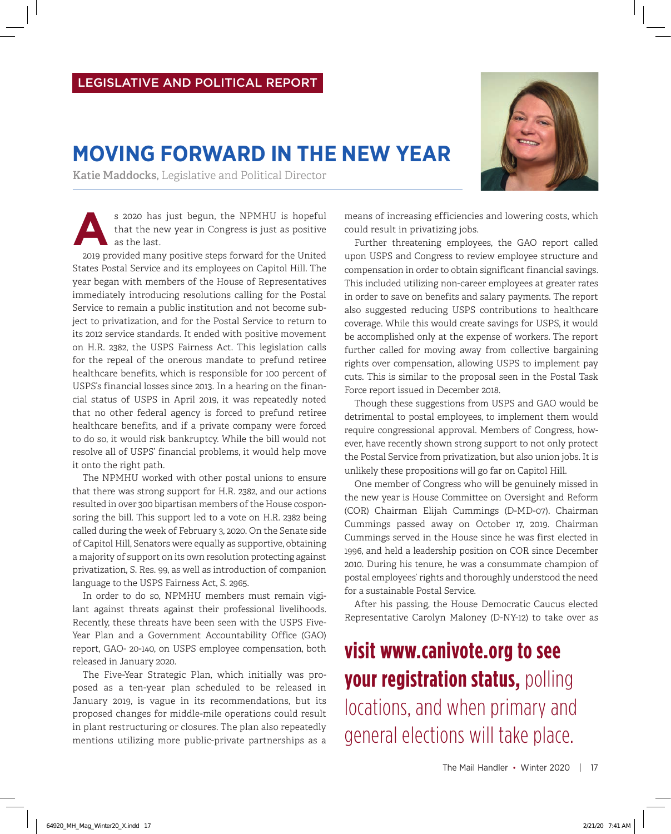## **MOVING FORWARD IN THE NEW YEAR**

**Katie Maddocks,** Legislative and Political Director

s 2020 has just begun, the NPMHU is hopeful that the new year in Congress is just as positive as the last.

2019 provided many positive steps forward for the United States Postal Service and its employees on Capitol Hill. The year began with members of the House of Representatives immediately introducing resolutions calling for the Postal Service to remain a public institution and not become subject to privatization, and for the Postal Service to return to its 2012 service standards. It ended with positive movement on H.R. 2382, the USPS Fairness Act. This legislation calls for the repeal of the onerous mandate to prefund retiree healthcare benefits, which is responsible for 100 percent of USPS's financial losses since 2013. In a hearing on the financial status of USPS in April 2019, it was repeatedly noted that no other federal agency is forced to prefund retiree healthcare benefits, and if a private company were forced to do so, it would risk bankruptcy. While the bill would not resolve all of USPS' financial problems, it would help move it onto the right path.

The NPMHU worked with other postal unions to ensure that there was strong support for H.R. 2382, and our actions resulted in over 300 bipartisan members of the House cosponsoring the bill. This support led to a vote on H.R. 2382 being called during the week of February 3, 2020. On the Senate side of Capitol Hill, Senators were equally as supportive, obtaining a majority of support on its own resolution protecting against privatization, S. Res. 99, as well as introduction of companion language to the USPS Fairness Act, S. 2965.

In order to do so, NPMHU members must remain vigilant against threats against their professional livelihoods. Recently, these threats have been seen with the USPS Five-Year Plan and a Government Accountability Office (GAO) report, GAO- 20-140, on USPS employee compensation, both released in January 2020.

The Five-Year Strategic Plan, which initially was proposed as a ten-year plan scheduled to be released in January 2019, is vague in its recommendations, but its proposed changes for middle-mile operations could result in plant restructuring or closures. The plan also repeatedly mentions utilizing more public-private partnerships as a

means of increasing efficiencies and lowering costs, which could result in privatizing jobs.

Further threatening employees, the GAO report called upon USPS and Congress to review employee structure and compensation in order to obtain significant financial savings. This included utilizing non-career employees at greater rates in order to save on benefits and salary payments. The report also suggested reducing USPS contributions to healthcare coverage. While this would create savings for USPS, it would be accomplished only at the expense of workers. The report further called for moving away from collective bargaining rights over compensation, allowing USPS to implement pay cuts. This is similar to the proposal seen in the Postal Task Force report issued in December 2018.

Though these suggestions from USPS and GAO would be detrimental to postal employees, to implement them would require congressional approval. Members of Congress, however, have recently shown strong support to not only protect the Postal Service from privatization, but also union jobs. It is unlikely these propositions will go far on Capitol Hill.

One member of Congress who will be genuinely missed in the new year is House Committee on Oversight and Reform (COR) Chairman Elijah Cummings (D-MD-07). Chairman Cummings passed away on October 17, 2019. Chairman Cummings served in the House since he was first elected in 1996, and held a leadership position on COR since December 2010. During his tenure, he was a consummate champion of postal employees' rights and thoroughly understood the need for a sustainable Postal Service.

After his passing, the House Democratic Caucus elected Representative Carolyn Maloney (D-NY-12) to take over as

## **visit www.canivote.org to see your registration status,** polling locations, and when primary and general elections will take place.